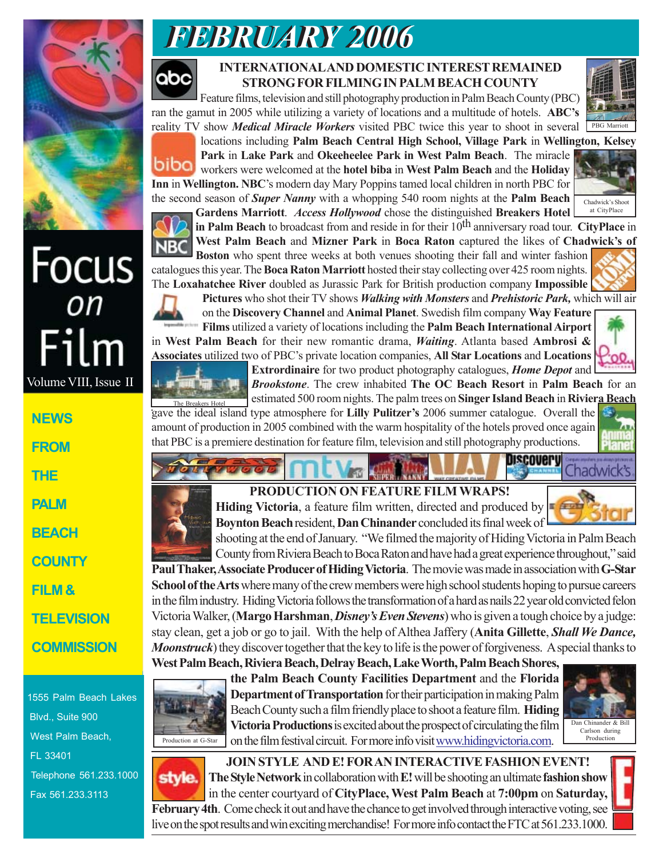

Volume VIII, Issue II

Film

**NEWS**

**FROM**

**THE**

**PALM**

**BEACH**

**COUNTY**

**FILM &**

# *FEBRUARY 2006 FEBRUARY 2006*



### **INTERNATIONAL AND DOMESTIC INTEREST REMAINED STRONG FOR FILMING IN PALM BEACH COUNTY**

Feature films, television and still photography production in Palm Beach County (PBC) ran the gamut in 2005 while utilizing a variety of locations and a multitude of hotels. **ABC's** reality TV show *Medical Miracle Workers* visited PBC twice this year to shoot in several





**Park** in **Lake Park** and **Okeeheelee Park in West Palm Beach**. The miracle workers were welcomed at the **hotel biba** in **West Palm Beach** and the **Holiday Inn** in **Wellington. NBC**'s modern day Mary Poppins tamed local children in north PBC for the second season of *Super Nanny* with a whopping 540 room nights at the **Palm Beach**



**Gardens Marriott**. *Access Hollywood* chose the distinguished **Breakers Hotel in Palm Beach** to broadcast from and reside in for their 10<sup>th</sup> anniversary road tour. **CityPlace** in **West Palm Beach** and **Mizner Park** in **Boca Raton** captured the likes of **Chadwick's of** Chadwick's Shoot at CityPlace

locations including **Palm Beach Central High School, Village Park** in **Wellington, Kelsey**

**Boston** who spent three weeks at both venues shooting their fall and winter fashion catalogues this year. The **Boca Raton Marriott** hosted their stay collecting over 425 room nights. The **Loxahatchee River** doubled as Jurassic Park for British production company **Impossible**



**Pictures** who shot their TV shows *Walking with Monsters* and *Prehistoric Park,* which will air

on the **Discovery Channel** and **Animal Planet**. Swedish film company **Way Feature Films** utilized a variety of locations including the **Palm Beach International Airport** in **West Palm Beach** for their new romantic drama, *Waiting*. Atlanta based **Ambrosi & Associates** utilized two of PBC's private location companies, **All Star Locations** and **Locations**





**Extrordinaire** for two product photography catalogues, *Home Depot* and *Brookstone*. The crew inhabited **The OC Beach Resort** in **Palm Beach** for an estimated 500 room nights. The palm trees on **Singer Island Beach** in **Riviera Beach**

gave the ideal island type atmosphere for **Lilly Pulitzer's** 2006 summer catalogue. Overall the amount of production in 2005 combined with the warm hospitality of the hotels proved once again that PBC is a premiere destination for feature film, television and still photography productions. The Breakers Hotel



## **PRODUCTION ON FEATURE FILM WRAPS!**

**Hiding Victoria**, a feature film written, directed and produced by **Boynton Beach** resident, **Dan Chinander** concluded its final week of

Chadwick's

Discoverv

shooting at the end of January. "We filmed the majority of Hiding Victoria in Palm Beach County from Riviera Beach to Boca Raton and have had a great experience throughout," said **Paul Thaker, Associate Producer of Hiding Victoria**. The movie was made in association with **G-Star School of the Arts** where many of the crew members were high school students hoping to pursue careers in the film industry. Hiding Victoria follows the transformation of a hard as nails 22 year old convicted felon Victoria Walker, (**Margo Harshman**, *Disney's Even Stevens*) who is given a tough choice by a judge: stay clean, get a job or go to jail. With the help of Althea Jaffery (**Anita Gillette**, *Shall We Dance, Moonstruck*) they discover together that the key to life is the power of forgiveness. A special thanks to

**West Palm Beach, Riviera Beach, Delray Beach, Lake Worth, Palm Beach Shores,**



**the Palm Beach County Facilities Department** and the **Florida Department of Transportation** for their participation in making Palm Beach County such a film friendly place to shoot a feature film. **Hiding Victoria Productions** is excited about the prospect of circulating the film on the film festival circuit. For more info visit www.hidingvictoria.com.



**JOIN STYLE AND E! FOR AN INTERACTIVE FASHION EVENT!** style. **The Style Network** in collaboration with **E!** will be shooting an ultimate **fashion show** in the center courtyard of **CityPlace, West Palm Beach** at **7:00pm** on **Saturday, February 4th**. Come check it out and have the chance to get involved through interactive voting, see live on the spot results and win exciting merchandise! For more info contact the FTC at 561.233.1000.



**TELEVISION**

**COMMISSION**

1555 Palm Beach Lakes Blvd., Suite 900 West Palm Beach, FL 33401 Telephone 561.233.1000 Fax 561.233.3113